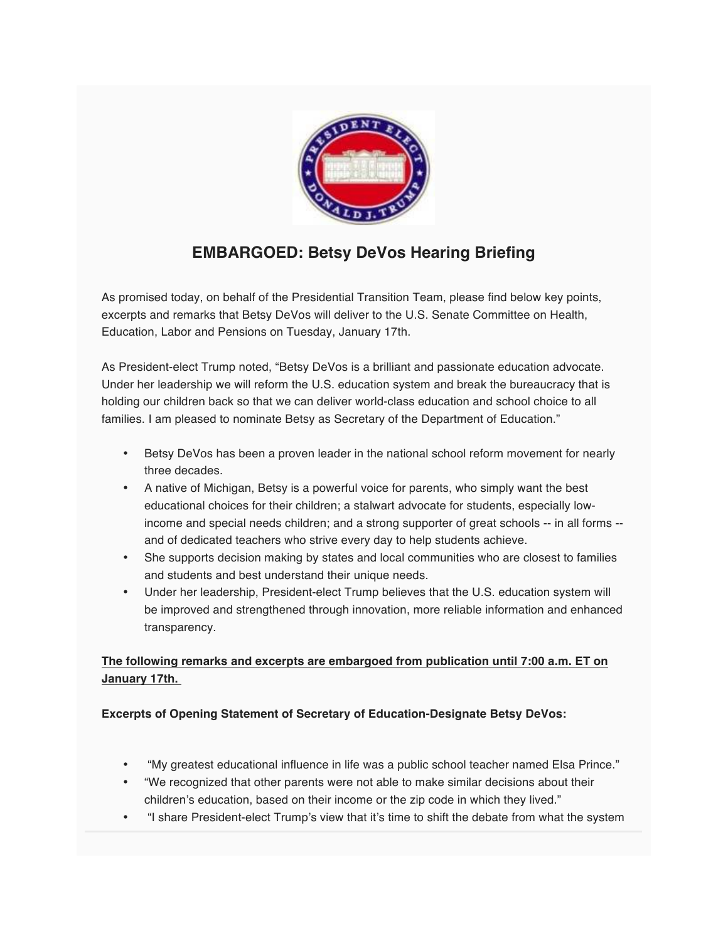

# **EMBARGOED: Betsy DeVos Hearing Briefing**

As promised today, on behalf of the Presidential Transition Team, please find below key points, excerpts and remarks that Betsy DeVos will deliver to the U.S. Senate Committee on Health, Education, Labor and Pensions on Tuesday, January 17th.

As President-elect Trump noted, "Betsy DeVos is a brilliant and passionate education advocate. Under her leadership we will reform the U.S. education system and break the bureaucracy that is holding our children back so that we can deliver world-class education and school choice to all families. I am pleased to nominate Betsy as Secretary of the Department of Education."

- Betsy DeVos has been a proven leader in the national school reform movement for nearly three decades.
- A native of Michigan, Betsy is a powerful voice for parents, who simply want the best educational choices for their children; a stalwart advocate for students, especially lowincome and special needs children; and a strong supporter of great schools -- in all forms - and of dedicated teachers who strive every day to help students achieve.
- She supports decision making by states and local communities who are closest to families and students and best understand their unique needs.
- Under her leadership, President-elect Trump believes that the U.S. education system will be improved and strengthened through innovation, more reliable information and enhanced transparency.

## **The following remarks and excerpts are embargoed from publication until 7:00 a.m. ET on January 17th.**

#### **Excerpts of Opening Statement of Secretary of Education-Designate Betsy DeVos:**

- "My greatest educational influence in life was a public school teacher named Elsa Prince."
- "We recognized that other parents were not able to make similar decisions about their children's education, based on their income or the zip code in which they lived."
- "I share President-elect Trump's view that it's time to shift the debate from what the system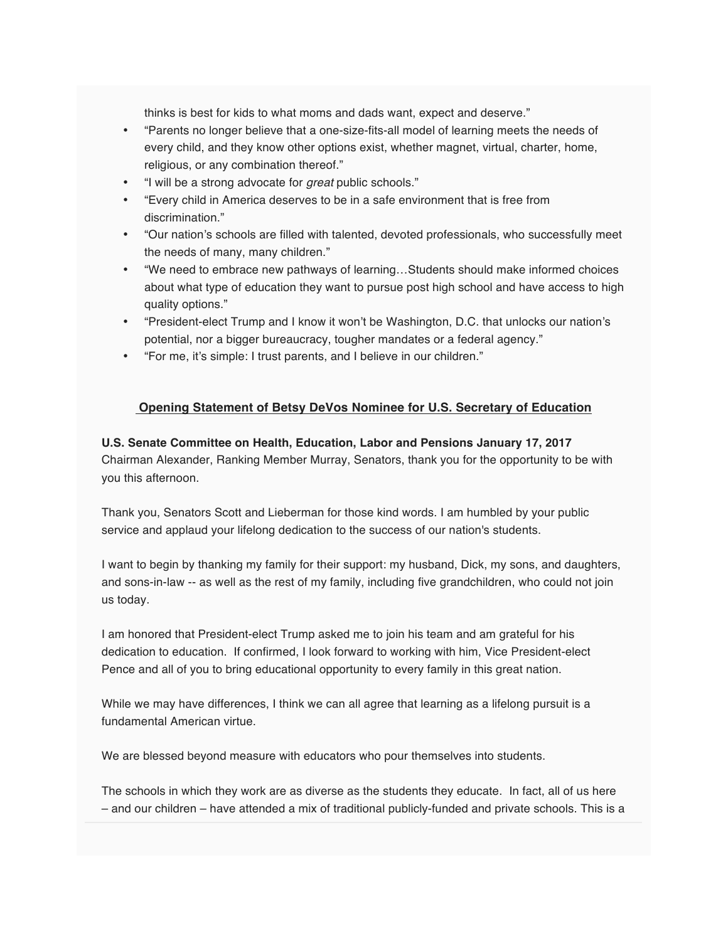thinks is best for kids to what moms and dads want, expect and deserve."

- "Parents no longer believe that a one-size-fits-all model of learning meets the needs of every child, and they know other options exist, whether magnet, virtual, charter, home, religious, or any combination thereof."
- "I will be a strong advocate for great public schools."
- "Every child in America deserves to be in a safe environment that is free from discrimination."
- "Our nation's schools are filled with talented, devoted professionals, who successfully meet the needs of many, many children."
- "We need to embrace new pathways of learning…Students should make informed choices about what type of education they want to pursue post high school and have access to high quality options."
- "President-elect Trump and I know it won't be Washington, D.C. that unlocks our nation's potential, nor a bigger bureaucracy, tougher mandates or a federal agency."
- "For me, it's simple: I trust parents, and I believe in our children."

### **Opening Statement of Betsy DeVos Nominee for U.S. Secretary of Education**

#### **U.S. Senate Committee on Health, Education, Labor and Pensions January 17, 2017**

Chairman Alexander, Ranking Member Murray, Senators, thank you for the opportunity to be with you this afternoon.

Thank you, Senators Scott and Lieberman for those kind words. I am humbled by your public service and applaud your lifelong dedication to the success of our nation's students.

I want to begin by thanking my family for their support: my husband, Dick, my sons, and daughters, and sons-in-law -- as well as the rest of my family, including five grandchildren, who could not join us today.

I am honored that President-elect Trump asked me to join his team and am grateful for his dedication to education. If confirmed, I look forward to working with him, Vice President-elect Pence and all of you to bring educational opportunity to every family in this great nation.

While we may have differences, I think we can all agree that learning as a lifelong pursuit is a fundamental American virtue.

We are blessed beyond measure with educators who pour themselves into students.

The schools in which they work are as diverse as the students they educate. In fact, all of us here – and our children – have attended a mix of traditional publicly-funded and private schools. This is a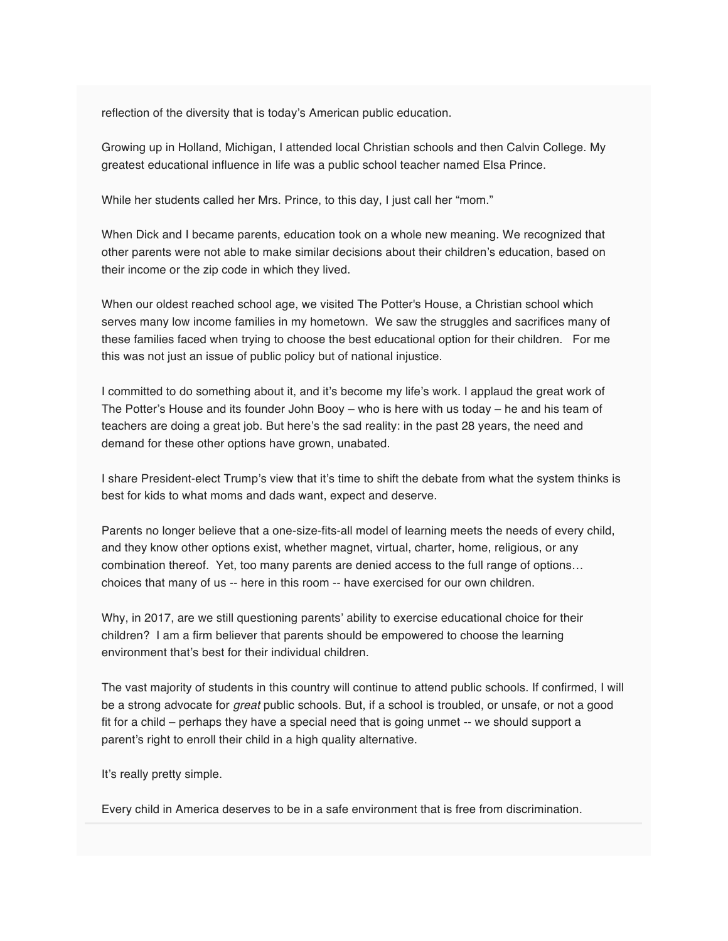reflection of the diversity that is today's American public education.

Growing up in Holland, Michigan, I attended local Christian schools and then Calvin College. My greatest educational influence in life was a public school teacher named Elsa Prince.

While her students called her Mrs. Prince, to this day, I just call her "mom."

When Dick and I became parents, education took on a whole new meaning. We recognized that other parents were not able to make similar decisions about their children's education, based on their income or the zip code in which they lived.

When our oldest reached school age, we visited The Potter's House, a Christian school which serves many low income families in my hometown. We saw the struggles and sacrifices many of these families faced when trying to choose the best educational option for their children. For me this was not just an issue of public policy but of national injustice.

I committed to do something about it, and it's become my life's work. I applaud the great work of The Potter's House and its founder John Booy – who is here with us today – he and his team of teachers are doing a great job. But here's the sad reality: in the past 28 years, the need and demand for these other options have grown, unabated.

I share President-elect Trump's view that it's time to shift the debate from what the system thinks is best for kids to what moms and dads want, expect and deserve.

Parents no longer believe that a one-size-fits-all model of learning meets the needs of every child, and they know other options exist, whether magnet, virtual, charter, home, religious, or any combination thereof. Yet, too many parents are denied access to the full range of options… choices that many of us -- here in this room -- have exercised for our own children.

Why, in 2017, are we still questioning parents' ability to exercise educational choice for their children? I am a firm believer that parents should be empowered to choose the learning environment that's best for their individual children.

The vast majority of students in this country will continue to attend public schools. If confirmed, I will be a strong advocate for *great* public schools. But, if a school is troubled, or unsafe, or not a good fit for a child – perhaps they have a special need that is going unmet -- we should support a parent's right to enroll their child in a high quality alternative.

It's really pretty simple.

Every child in America deserves to be in a safe environment that is free from discrimination.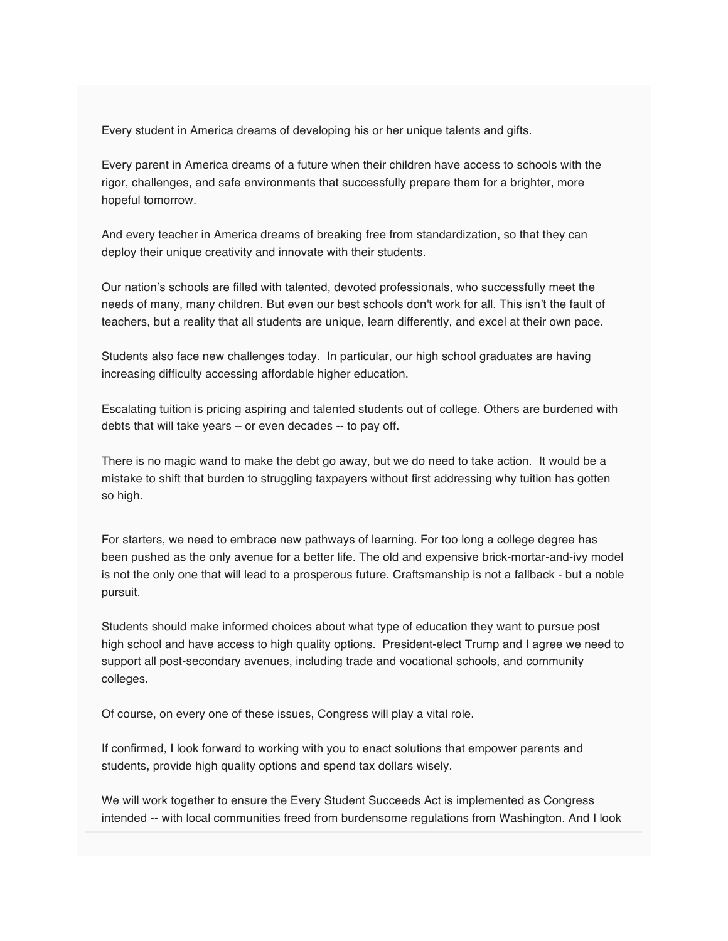Every student in America dreams of developing his or her unique talents and gifts.

Every parent in America dreams of a future when their children have access to schools with the rigor, challenges, and safe environments that successfully prepare them for a brighter, more hopeful tomorrow.

And every teacher in America dreams of breaking free from standardization, so that they can deploy their unique creativity and innovate with their students.

Our nation's schools are filled with talented, devoted professionals, who successfully meet the needs of many, many children. But even our best schools don't work for all. This isn't the fault of teachers, but a reality that all students are unique, learn differently, and excel at their own pace.

Students also face new challenges today. In particular, our high school graduates are having increasing difficulty accessing affordable higher education.

Escalating tuition is pricing aspiring and talented students out of college. Others are burdened with debts that will take years – or even decades -- to pay off.

There is no magic wand to make the debt go away, but we do need to take action. It would be a mistake to shift that burden to struggling taxpayers without first addressing why tuition has gotten so high.

For starters, we need to embrace new pathways of learning. For too long a college degree has been pushed as the only avenue for a better life. The old and expensive brick-mortar-and-ivy model is not the only one that will lead to a prosperous future. Craftsmanship is not a fallback - but a noble pursuit.

Students should make informed choices about what type of education they want to pursue post high school and have access to high quality options. President-elect Trump and I agree we need to support all post-secondary avenues, including trade and vocational schools, and community colleges.

Of course, on every one of these issues, Congress will play a vital role.

If confirmed, I look forward to working with you to enact solutions that empower parents and students, provide high quality options and spend tax dollars wisely.

We will work together to ensure the Every Student Succeeds Act is implemented as Congress intended -- with local communities freed from burdensome regulations from Washington. And I look